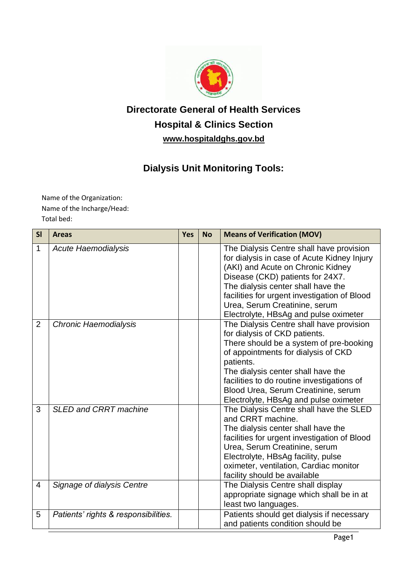

# **Directorate General of Health Services Hospital & Clinics Section www.hospitaldghs.gov.bd**

## **Dialysis Unit Monitoring Tools:**

Name of the Organization: Name of the Incharge/Head: Total bed:

| SI             | <b>Areas</b>                         | <b>Yes</b> | <b>No</b> | <b>Means of Verification (MOV)</b>                                                                                                                                                                                                                                                                                                           |
|----------------|--------------------------------------|------------|-----------|----------------------------------------------------------------------------------------------------------------------------------------------------------------------------------------------------------------------------------------------------------------------------------------------------------------------------------------------|
| 1              | <b>Acute Haemodialysis</b>           |            |           | The Dialysis Centre shall have provision<br>for dialysis in case of Acute Kidney Injury<br>(AKI) and Acute on Chronic Kidney<br>Disease (CKD) patients for 24X7.<br>The dialysis center shall have the<br>facilities for urgent investigation of Blood<br>Urea, Serum Creatinine, serum<br>Electrolyte, HBsAg and pulse oximeter             |
| $\overline{2}$ | Chronic Haemodialysis                |            |           | The Dialysis Centre shall have provision<br>for dialysis of CKD patients.<br>There should be a system of pre-booking<br>of appointments for dialysis of CKD<br>patients.<br>The dialysis center shall have the<br>facilities to do routine investigations of<br>Blood Urea, Serum Creatinine, serum<br>Electrolyte, HBsAg and pulse oximeter |
| 3              | <b>SLED and CRRT machine</b>         |            |           | The Dialysis Centre shall have the SLED<br>and CRRT machine.<br>The dialysis center shall have the<br>facilities for urgent investigation of Blood<br>Urea, Serum Creatinine, serum<br>Electrolyte, HBsAg facility, pulse<br>oximeter, ventilation, Cardiac monitor<br>facility should be available                                          |
| 4              | Signage of dialysis Centre           |            |           | The Dialysis Centre shall display<br>appropriate signage which shall be in at<br>least two languages.                                                                                                                                                                                                                                        |
| 5              | Patients' rights & responsibilities. |            |           | Patients should get dialysis if necessary<br>and patients condition should be                                                                                                                                                                                                                                                                |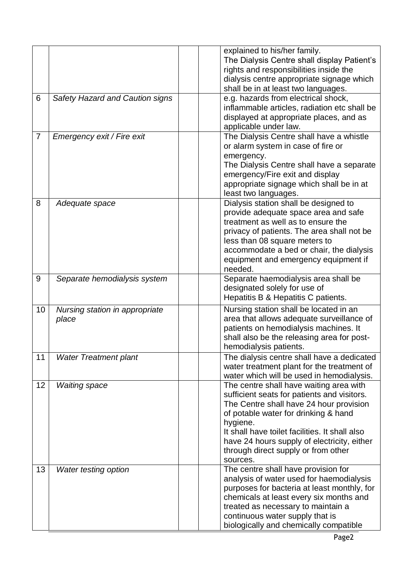|                |                                         | explained to his/her family.<br>The Dialysis Centre shall display Patient's<br>rights and responsibilities inside the<br>dialysis centre appropriate signage which<br>shall be in at least two languages.                                                                                                                                 |
|----------------|-----------------------------------------|-------------------------------------------------------------------------------------------------------------------------------------------------------------------------------------------------------------------------------------------------------------------------------------------------------------------------------------------|
| 6              | Safety Hazard and Caution signs         | e.g. hazards from electrical shock,<br>inflammable articles, radiation etc shall be<br>displayed at appropriate places, and as<br>applicable under law.                                                                                                                                                                                   |
| $\overline{7}$ | Emergency exit / Fire exit              | The Dialysis Centre shall have a whistle<br>or alarm system in case of fire or<br>emergency.<br>The Dialysis Centre shall have a separate<br>emergency/Fire exit and display<br>appropriate signage which shall be in at<br>least two languages.                                                                                          |
| 8              | Adequate space                          | Dialysis station shall be designed to<br>provide adequate space area and safe<br>treatment as well as to ensure the<br>privacy of patients. The area shall not be<br>less than 08 square meters to<br>accommodate a bed or chair, the dialysis<br>equipment and emergency equipment if<br>needed.                                         |
| 9              | Separate hemodialysis system            | Separate haemodialysis area shall be<br>designated solely for use of<br>Hepatitis B & Hepatitis C patients.                                                                                                                                                                                                                               |
| 10             | Nursing station in appropriate<br>place | Nursing station shall be located in an<br>area that allows adequate surveillance of<br>patients on hemodialysis machines. It<br>shall also be the releasing area for post-<br>hemodialysis patients.                                                                                                                                      |
| 11             | <b>Water Treatment plant</b>            | The dialysis centre shall have a dedicated<br>water treatment plant for the treatment of<br>water which will be used in hemodialysis.                                                                                                                                                                                                     |
| 12             | <b>Waiting space</b>                    | The centre shall have waiting area with<br>sufficient seats for patients and visitors.<br>The Centre shall have 24 hour provision<br>of potable water for drinking & hand<br>hygiene.<br>It shall have toilet facilities. It shall also<br>have 24 hours supply of electricity, either<br>through direct supply or from other<br>sources. |
| 13             | Water testing option                    | The centre shall have provision for<br>analysis of water used for haemodialysis<br>purposes for bacteria at least monthly, for<br>chemicals at least every six months and<br>treated as necessary to maintain a<br>continuous water supply that is<br>biologically and chemically compatible                                              |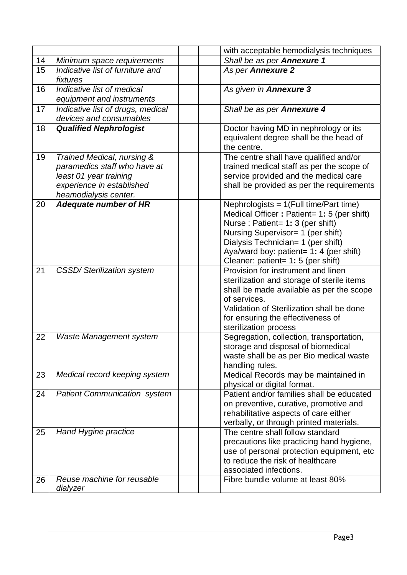|    |                                                                                                                                            | with acceptable hemodialysis techniques                                                                                                                                                                                                                                                 |
|----|--------------------------------------------------------------------------------------------------------------------------------------------|-----------------------------------------------------------------------------------------------------------------------------------------------------------------------------------------------------------------------------------------------------------------------------------------|
| 14 | Minimum space requirements                                                                                                                 | Shall be as per Annexure 1                                                                                                                                                                                                                                                              |
| 15 | Indicative list of furniture and<br>fixtures                                                                                               | As per Annexure 2                                                                                                                                                                                                                                                                       |
| 16 | Indicative list of medical<br>equipment and instruments                                                                                    | As given in Annexure 3                                                                                                                                                                                                                                                                  |
| 17 | Indicative list of drugs, medical<br>devices and consumables                                                                               | Shall be as per Annexure 4                                                                                                                                                                                                                                                              |
| 18 | <b>Qualified Nephrologist</b>                                                                                                              | Doctor having MD in nephrology or its<br>equivalent degree shall be the head of<br>the centre.                                                                                                                                                                                          |
| 19 | Trained Medical, nursing &<br>paramedics staff who have at<br>least 01 year training<br>experience in established<br>heamodialysis center. | The centre shall have qualified and/or<br>trained medical staff as per the scope of<br>service provided and the medical care<br>shall be provided as per the requirements                                                                                                               |
| 20 | <b>Adequate number of HR</b>                                                                                                               | Nephrologists = $1$ (Full time/Part time)<br>Medical Officer: Patient= 1: 5 (per shift)<br>Nurse: Patient= 1: 3 (per shift)<br>Nursing Supervisor= 1 (per shift)<br>Dialysis Technician= 1 (per shift)<br>Aya/ward boy: patient= 1: 4 (per shift)<br>Cleaner: patient= 1: 5 (per shift) |
| 21 | <b>CSSD/ Sterilization system</b>                                                                                                          | Provision for instrument and linen<br>sterilization and storage of sterile items<br>shall be made available as per the scope<br>of services.<br>Validation of Sterilization shall be done<br>for ensuring the effectiveness of<br>sterilization process                                 |
| 22 | <b>Waste Management system</b>                                                                                                             | Segregation, collection, transportation,<br>storage and disposal of biomedical<br>waste shall be as per Bio medical waste<br>handling rules.                                                                                                                                            |
| 23 | Medical record keeping system                                                                                                              | Medical Records may be maintained in<br>physical or digital format.                                                                                                                                                                                                                     |
| 24 | <b>Patient Communication system</b>                                                                                                        | Patient and/or families shall be educated<br>on preventive, curative, promotive and<br>rehabilitative aspects of care either<br>verbally, or through printed materials.                                                                                                                 |
| 25 | Hand Hygine practice                                                                                                                       | The centre shall follow standard<br>precautions like practicing hand hygiene,<br>use of personal protection equipment, etc<br>to reduce the risk of healthcare<br>associated infections.                                                                                                |
| 26 | Reuse machine for reusable<br>dialyzer                                                                                                     | Fibre bundle volume at least 80%                                                                                                                                                                                                                                                        |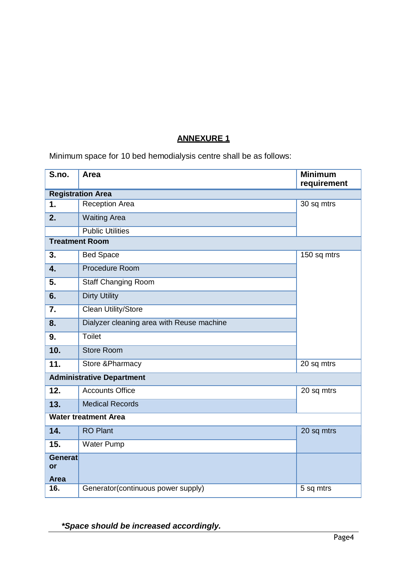#### **ANNEXURE 1**

Minimum space for 10 bed hemodialysis centre shall be as follows:

| S.no.                            | Area                                      | <b>Minimum</b><br>requirement |  |
|----------------------------------|-------------------------------------------|-------------------------------|--|
| <b>Registration Area</b>         |                                           |                               |  |
| 1.                               | Reception Area                            | 30 sq mtrs                    |  |
| 2.                               | <b>Waiting Area</b>                       |                               |  |
|                                  | <b>Public Utilities</b>                   |                               |  |
|                                  | <b>Treatment Room</b>                     |                               |  |
| 3.                               | <b>Bed Space</b>                          | 150 sq mtrs                   |  |
| 4.                               | Procedure Room                            |                               |  |
| 5.                               | <b>Staff Changing Room</b>                |                               |  |
| 6.                               | <b>Dirty Utility</b>                      |                               |  |
| 7.                               | <b>Clean Utility/Store</b>                |                               |  |
| 8.                               | Dialyzer cleaning area with Reuse machine |                               |  |
| 9.                               | <b>Toilet</b>                             |                               |  |
| 10.                              | <b>Store Room</b>                         |                               |  |
| 11.                              | <b>Store &amp;Pharmacy</b>                | 20 sq mtrs                    |  |
| <b>Administrative Department</b> |                                           |                               |  |
| 12.                              | <b>Accounts Office</b>                    | 20 sq mtrs                    |  |
| 13.                              | <b>Medical Records</b>                    |                               |  |
| <b>Water treatment Area</b>      |                                           |                               |  |
| 14.                              | <b>RO Plant</b>                           | 20 sq mtrs                    |  |
| 15.                              | <b>Water Pump</b>                         |                               |  |
| <b>Generat</b><br>or             |                                           |                               |  |
| <b>Area</b>                      |                                           |                               |  |
| 16.                              | Generator(continuous power supply)        | 5 sq mtrs                     |  |
|                                  |                                           |                               |  |

*\*Space should be increased accordingly.*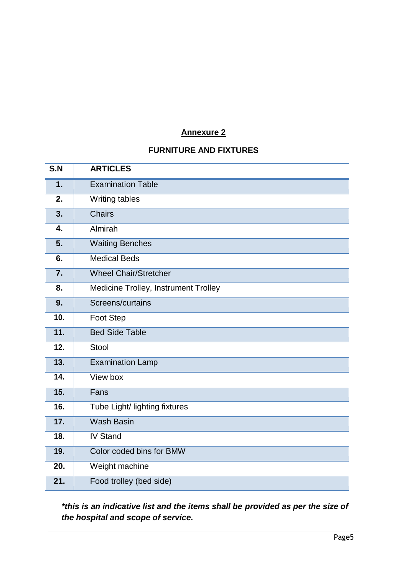#### **Annexure 2**

#### **FURNITURE AND FIXTURES**

| S.N              | <b>ARTICLES</b>                      |
|------------------|--------------------------------------|
| 1.               | <b>Examination Table</b>             |
| 2.               | Writing tables                       |
| 3.               | <b>Chairs</b>                        |
| 4.               | Almirah                              |
| 5.               | <b>Waiting Benches</b>               |
| 6.               | <b>Medical Beds</b>                  |
| $\overline{7}$ . | <b>Wheel Chair/Stretcher</b>         |
| 8.               | Medicine Trolley, Instrument Trolley |
| 9.               | Screens/curtains                     |
| 10.              | Foot Step                            |
| 11.              | <b>Bed Side Table</b>                |
| 12.              | Stool                                |
| 13.              | <b>Examination Lamp</b>              |
| 14.              | View box                             |
| 15.              | Fans                                 |
| 16.              | Tube Light/ lighting fixtures        |
| 17.              | <b>Wash Basin</b>                    |
| 18.              | <b>IV Stand</b>                      |
| 19.              | Color coded bins for BMW             |
| 20.              | Weight machine                       |
| 21.              | Food trolley (bed side)              |

*\*this is an indicative list and the items shall be provided as per the size of the hospital and scope of service.*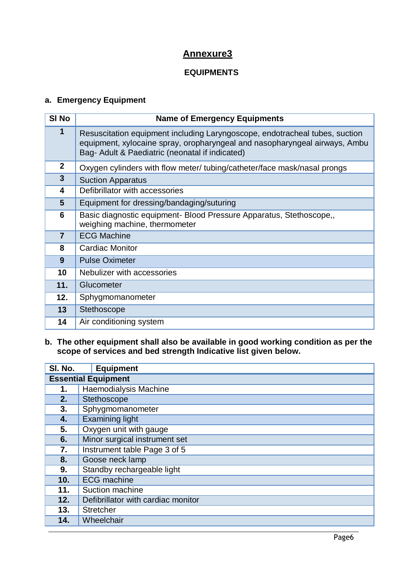## **Annexure3**

#### **EQUIPMENTS**

#### **a. Emergency Equipment**

| SI <sub>No</sub> | <b>Name of Emergency Equipments</b>                                                                                                                                                                          |
|------------------|--------------------------------------------------------------------------------------------------------------------------------------------------------------------------------------------------------------|
| 1                | Resuscitation equipment including Laryngoscope, endotracheal tubes, suction<br>equipment, xylocaine spray, oropharyngeal and nasopharyngeal airways, Ambu<br>Bag- Adult & Paediatric (neonatal if indicated) |
| $\mathbf{2}$     | Oxygen cylinders with flow meter/ tubing/catheter/face mask/nasal prongs                                                                                                                                     |
| $\overline{3}$   | <b>Suction Apparatus</b>                                                                                                                                                                                     |
| 4                | Defibrillator with accessories                                                                                                                                                                               |
| 5                | Equipment for dressing/bandaging/suturing                                                                                                                                                                    |
| 6                | Basic diagnostic equipment- Blood Pressure Apparatus, Stethoscope,,<br>weighing machine, thermometer                                                                                                         |
| $\overline{7}$   | <b>ECG Machine</b>                                                                                                                                                                                           |
| 8                | Cardiac Monitor                                                                                                                                                                                              |
| 9                | <b>Pulse Oximeter</b>                                                                                                                                                                                        |
| 10               | Nebulizer with accessories                                                                                                                                                                                   |
| 11.              | Glucometer                                                                                                                                                                                                   |
| 12.              | Sphygmomanometer                                                                                                                                                                                             |
| 13               | Stethoscope                                                                                                                                                                                                  |
| 14               | Air conditioning system                                                                                                                                                                                      |

#### **b. The other equipment shall also be available in good working condition as per the scope of services and bed strength Indicative list given below.**

| SI. No.                    | <b>Equipment</b>                   |
|----------------------------|------------------------------------|
| <b>Essential Equipment</b> |                                    |
| 1.                         | Haemodialysis Machine              |
| 2.                         | Stethoscope                        |
| 3.                         | Sphygmomanometer                   |
| 4.                         | <b>Examining light</b>             |
| 5.                         | Oxygen unit with gauge             |
| 6.                         | Minor surgical instrument set      |
| 7.                         | Instrument table Page 3 of 5       |
| 8.                         | Goose neck lamp                    |
| 9.                         | Standby rechargeable light         |
| 10.                        | <b>ECG</b> machine                 |
| 11.                        | Suction machine                    |
| 12.                        | Defibrillator with cardiac monitor |
| 13.                        | <b>Stretcher</b>                   |
| 14.                        | Wheelchair                         |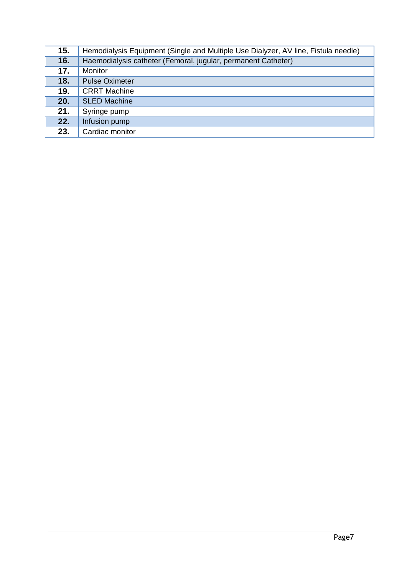| 15. | Hemodialysis Equipment (Single and Multiple Use Dialyzer, AV line, Fistula needle) |
|-----|------------------------------------------------------------------------------------|
| 16. | Haemodialysis catheter (Femoral, jugular, permanent Catheter)                      |
| 17. | Monitor                                                                            |
| 18. | <b>Pulse Oximeter</b>                                                              |
| 19. | <b>CRRT</b> Machine                                                                |
| 20. | <b>SLED Machine</b>                                                                |
| 21. | Syringe pump                                                                       |
| 22. | Infusion pump                                                                      |
| 23. | Cardiac monitor                                                                    |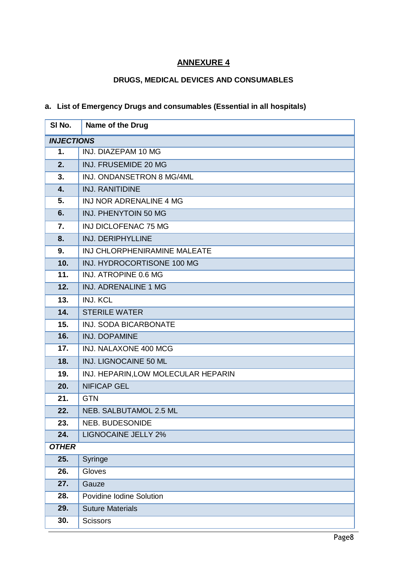### **ANNEXURE 4**

#### **DRUGS, MEDICAL DEVICES AND CONSUMABLES**

#### **a. List of Emergency Drugs and consumables (Essential in all hospitals)**

| SI No.            | Name of the Drug                    |  |
|-------------------|-------------------------------------|--|
| <b>INJECTIONS</b> |                                     |  |
| 1.                | INJ. DIAZEPAM 10 MG                 |  |
| 2.                | INJ. FRUSEMIDE 20 MG                |  |
| 3.                | INJ. ONDANSETRON 8 MG/4ML           |  |
| 4.                | <b>INJ. RANITIDINE</b>              |  |
| 5.                | INJ NOR ADRENALINE 4 MG             |  |
| 6.                | INJ. PHENYTOIN 50 MG                |  |
| 7.                | INJ DICLOFENAC 75 MG                |  |
| 8.                | <b>INJ. DERIPHYLLINE</b>            |  |
| 9.                | INJ CHLORPHENIRAMINE MALEATE        |  |
| 10.               | INJ. HYDROCORTISONE 100 MG          |  |
| 11.               | INJ. ATROPINE 0.6 MG                |  |
| 12.               | <b>INJ. ADRENALINE 1 MG</b>         |  |
| 13.               | <b>INJ. KCL</b>                     |  |
| 14.               | <b>STERILE WATER</b>                |  |
| 15.               | <b>INJ. SODA BICARBONATE</b>        |  |
| 16.               | <b>INJ. DOPAMINE</b>                |  |
| 17.               | INJ. NALAXONE 400 MCG               |  |
| 18.               | INJ. LIGNOCAINE 50 ML               |  |
| 19.               | INJ. HEPARIN, LOW MOLECULAR HEPARIN |  |
| 20.               | <b>NIFICAP GEL</b>                  |  |
| 21.               | <b>GTN</b>                          |  |
| 22.               | NEB. SALBUTAMOL 2.5 ML              |  |
| 23.               | NEB. BUDESONIDE                     |  |
| 24.               | <b>LIGNOCAINE JELLY 2%</b>          |  |
| <b>OTHER</b>      |                                     |  |
| 25.               | Syringe                             |  |
| 26.               | Gloves                              |  |
| 27.               | Gauze                               |  |
| 28.               | Povidine Iodine Solution            |  |
| 29.               | <b>Suture Materials</b>             |  |
| 30.               | <b>Scissors</b>                     |  |